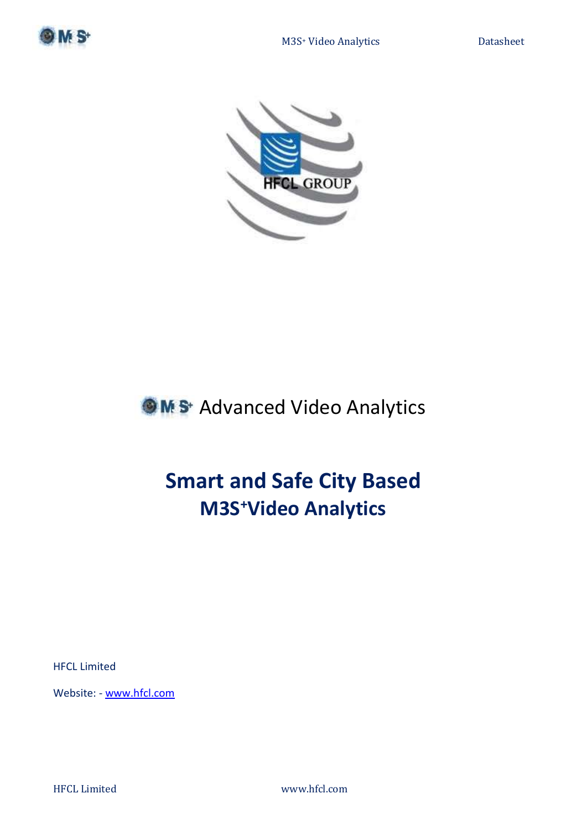

# **OMS** Advanced Video Analytics

# **Smart and Safe City Based M3S+Video Analytics**

HFCL Limited

Website: - [www.hfcl.com](http://www.hfcl.com/)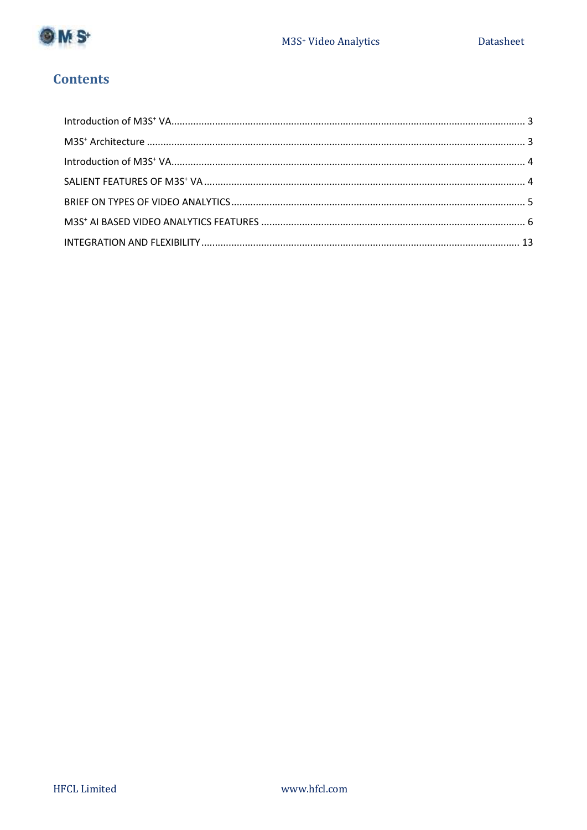

# **Contents**

<span id="page-1-0"></span>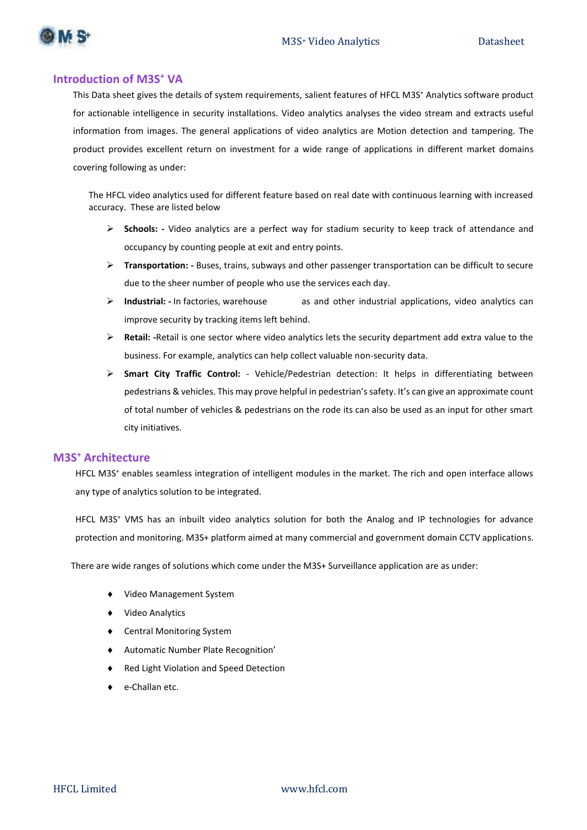



### **Introduction of M3S<sup>+</sup> VA**

This Data sheet gives the details of system requirements, salient features of HFCL M3S<sup>+</sup> Analytics software product for actionable intelligence in security installations. Video analytics analyses the video stream and extracts useful information from images. The general applications of video analytics are Motion detection and tampering. The product provides excellent return on investment for a wide range of applications in different market domains covering following as under:

The HFCL video analytics used for different feature based on real date with continuous learning with increased accuracy. These are listed below

- **Schools: -** Video analytics are a perfect way for stadium security to keep track of attendance and occupancy by counting people at exit and entry points.
- **Transportation: -** Buses, trains, subways and other passenger transportation can be difficult to secure due to the sheer number of people who use the services each day.
- **EXECT** Industrial: In factories, warehouse as and other industrial applications, video analytics can improve security by tracking items left behind.
- **Retail: -**Retail is one sector where video analytics lets the security department add extra value to the business. For example, analytics can help collect valuable non-security data.
- **Smart City Traffic Control:** Vehicle/Pedestrian detection: It helps in differentiating between pedestrians & vehicles. This may prove helpful in pedestrian's safety. It's can give an approximate count of total number of vehicles & pedestrians on the rode its can also be used as an input for other smart city initiatives.

## <span id="page-2-0"></span>**M3S<sup>+</sup> Architecture**

HFCL M3S<sup>+</sup> enables seamless integration of intelligent modules in the market. The rich and open interface allows any type of analytics solution to be integrated.

HFCL M3S<sup>+</sup> VMS has an inbuilt video analytics solution for both the Analog and IP technologies for advance protection and monitoring. M3S+ platform aimed at many commercial and government domain CCTV applications.

There are wide ranges of solutions which come under the M3S+ Surveillance application are as under:

- Video Management System
- Video Analytics
- ◆ Central Monitoring System
- Automatic Number Plate Recognition'
- Red Light Violation and Speed Detection
- e-Challan etc.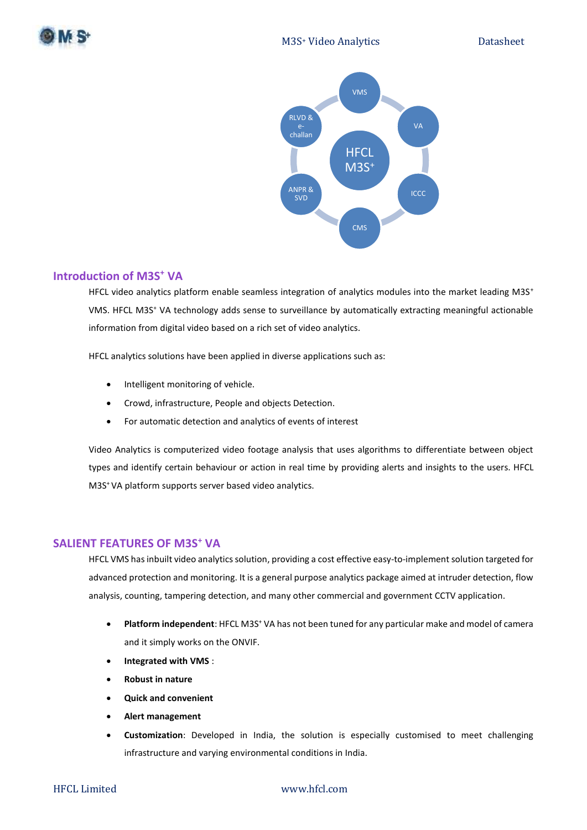

# <span id="page-3-0"></span>**Introduction of M3S<sup>+</sup> VA**

HFCL video analytics platform enable seamless integration of analytics modules into the market leading M3S<sup>+</sup> VMS. HFCL M3S<sup>+</sup> VA technology adds sense to surveillance by automatically extracting meaningful actionable information from digital video based on a rich set of video analytics.

HFCL analytics solutions have been applied in diverse applications such as:

- Intelligent monitoring of vehicle.
- Crowd, infrastructure, People and objects Detection.
- For automatic detection and analytics of events of interest

Video Analytics is computerized video footage analysis that uses algorithms to differentiate between object types and identify certain behaviour or action in real time by providing alerts and insights to the users. HFCL M3S<sup>+</sup> VA platform supports server based video analytics.

### <span id="page-3-1"></span>**SALIENT FEATURES OF M3S<sup>+</sup> VA**

HFCL VMS has inbuilt video analytics solution, providing a cost effective easy-to-implement solution targeted for advanced protection and monitoring. It is a general purpose analytics package aimed at intruder detection, flow analysis, counting, tampering detection, and many other commercial and government CCTV application.

- **Platform independent**: HFCL M3S<sup>+</sup> VA has not been tuned for any particular make and model of camera and it simply works on the ONVIF.
- **Integrated with VMS** :
- **Robust in nature**
- **Quick and convenient**
- **Alert management**
- **Customization**: Developed in India, the solution is especially customised to meet challenging infrastructure and varying environmental conditions in India.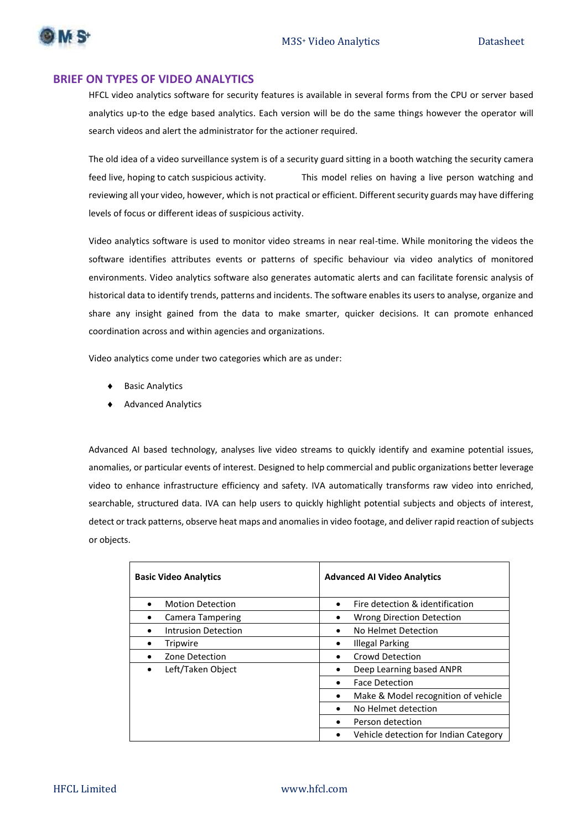

#### <span id="page-4-0"></span>**BRIEF ON TYPES OF VIDEO ANALYTICS**

HFCL video analytics software for security features is available in several forms from the CPU or server based analytics up-to the edge based analytics. Each version will be do the same things however the operator will search videos and alert the administrator for the actioner required.

The old idea of a video surveillance system is of a security guard sitting in a booth watching the security camera feed live, hoping to catch suspicious activity. This model relies on having a live person watching and reviewing all your video, however, which is not practical or efficient. Different security guards may have differing levels of focus or different ideas of suspicious activity.

Video analytics software is used to monitor video streams in near real-time. While monitoring the videos the software identifies attributes events or patterns of specific behaviour via video analytics of monitored environments. Video analytics software also generates automatic alerts and can facilitate forensic analysis of historical data to identify trends, patterns and incidents. The software enables its users to analyse, organize and share any insight gained from the data to make smarter, quicker decisions. It can promote enhanced coordination across and within agencies and organizations.

Video analytics come under two categories which are as under:

- ◆ Basic Analytics
- Advanced Analytics

Advanced AI based technology, analyses live video streams to quickly identify and examine potential issues, anomalies, or particular events of interest. Designed to help commercial and public organizations better leverage video to enhance infrastructure efficiency and safety. IVA automatically transforms raw video into enriched, searchable, structured data. IVA can help users to quickly highlight potential subjects and objects of interest, detect or track patterns, observe heat maps and anomalies in video footage, and deliver rapid reaction of subjects or objects.

| <b>Basic Video Analytics</b> | <b>Advanced AI Video Analytics</b>    |
|------------------------------|---------------------------------------|
| <b>Motion Detection</b>      | Fire detection & identification       |
| Camera Tampering             | Wrong Direction Detection             |
| Intrusion Detection          | No Helmet Detection                   |
| Tripwire                     | <b>Illegal Parking</b>                |
| Zone Detection               | Crowd Detection                       |
| Left/Taken Object            | Deep Learning based ANPR              |
|                              | <b>Face Detection</b>                 |
|                              | Make & Model recognition of vehicle   |
|                              | No Helmet detection                   |
|                              | Person detection                      |
|                              | Vehicle detection for Indian Category |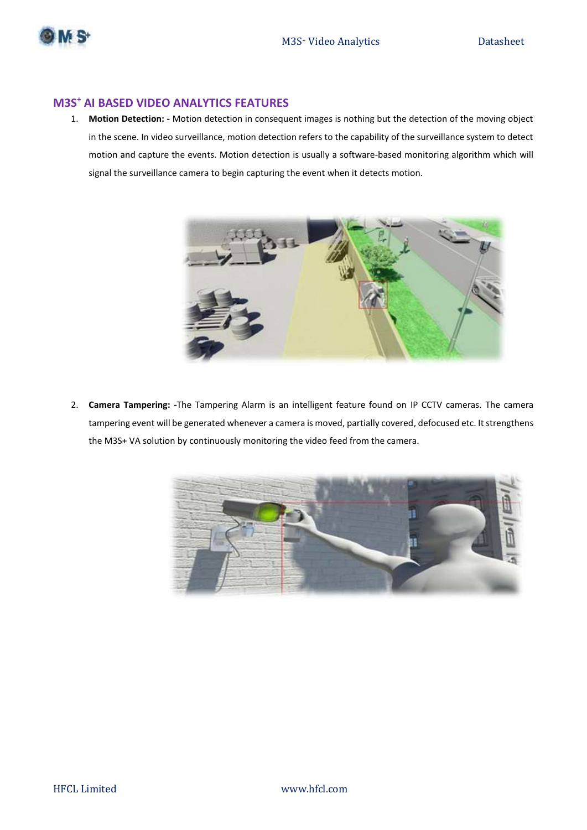

# <span id="page-5-0"></span>**M3S<sup>+</sup> AI BASED VIDEO ANALYTICS FEATURES**

1. **Motion Detection: -** Motion detection in consequent images is nothing but the detection of the moving object in the scene. In video surveillance, motion detection refers to the capability of the surveillance system to detect motion and capture the events. Motion detection is usually a software-based monitoring algorithm which will signal the surveillance camera to begin capturing the event when it detects motion.



2. **Camera Tampering: -**The Tampering Alarm is an intelligent feature found on IP CCTV cameras. The camera tampering event will be generated whenever a camera is moved, partially covered, defocused etc. It strengthens the M3S+ VA solution by continuously monitoring the video feed from the camera.

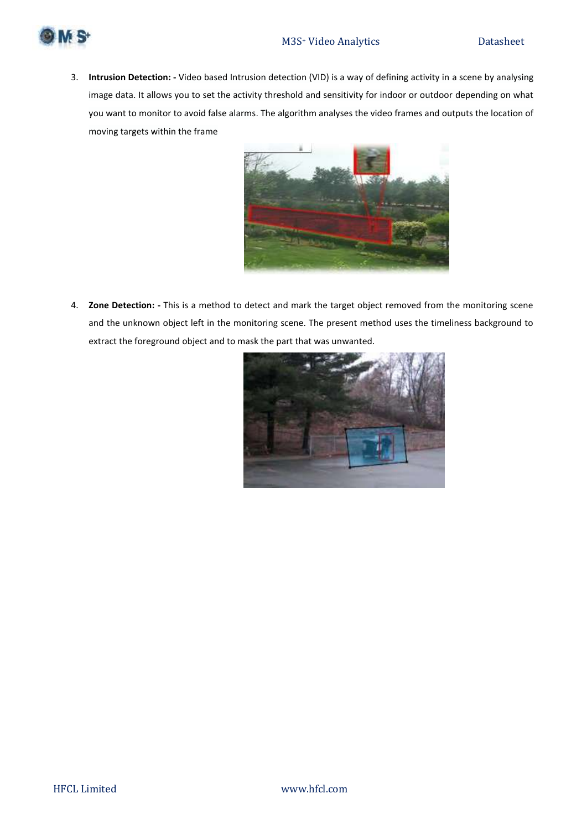

3. **Intrusion Detection: -** Video based Intrusion detection (VID) is a way of defining activity in a scene by analysing image data. It allows you to set the activity threshold and sensitivity for indoor or outdoor depending on what you want to monitor to avoid false alarms. The algorithm analyses the video frames and outputs the location of moving targets within the frame



4. **Zone Detection: -** This is a method to detect and mark the target object removed from the monitoring scene and the unknown object left in the monitoring scene. The present method uses the timeliness background to extract the foreground object and to mask the part that was unwanted.

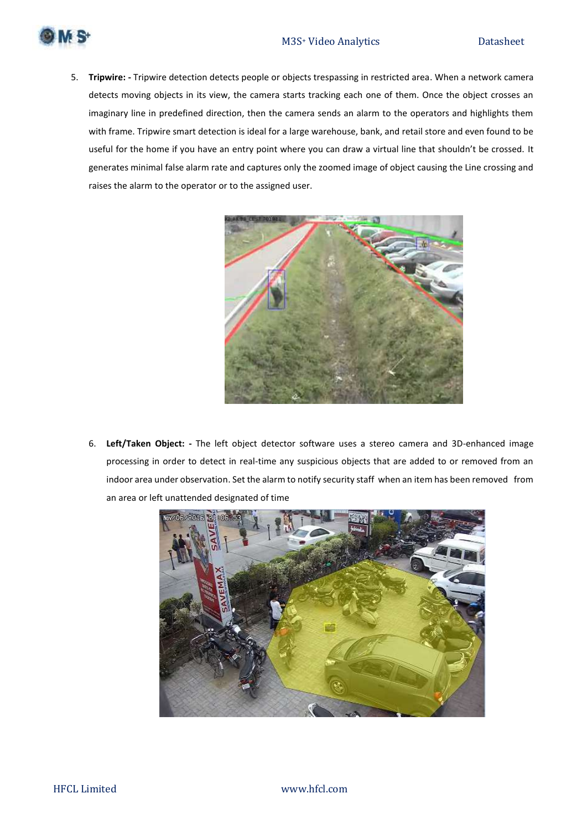



5. **Tripwire: -** Tripwire detection detects people or objects trespassing in restricted area. When a network camera detects moving objects in its view, the camera starts tracking each one of them. Once the object crosses an imaginary line in predefined direction, then the camera sends an alarm to the operators and highlights them with frame. Tripwire smart detection is ideal for a large warehouse, bank, and retail store and even found to be useful for the home if you have an entry point where you can draw a virtual line that shouldn't be crossed. It generates minimal false alarm rate and captures only the zoomed image of object causing the Line crossing and raises the alarm to the operator or to the assigned user.



6. **Left/Taken Object: -** The left object detector software uses a stereo camera and 3D-enhanced image processing in order to detect in real-time any suspicious objects that are added to or removed from an indoor area under observation. Set the alarm to notify security staff when an item has been removed from an area or left unattended designated of time

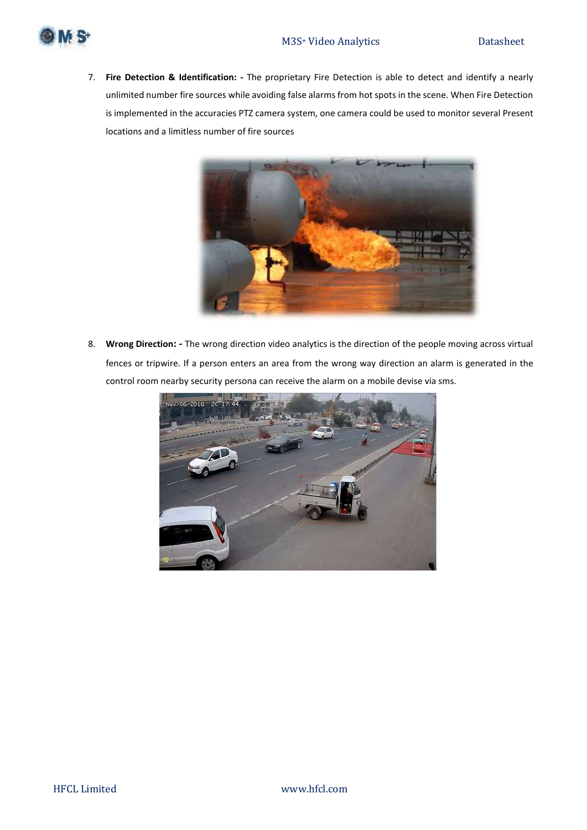

7. **Fire Detection & Identification: -** The proprietary Fire Detection is able to detect and identify a nearly unlimited number fire sources while avoiding false alarms from hot spots in the scene. When Fire Detection is implemented in the accuracies PTZ camera system, one camera could be used to monitor several Present locations and a limitless number of fire sources



8. **Wrong Direction: -** The wrong direction video analytics is the direction of the people moving across virtual fences or tripwire. If a person enters an area from the wrong way direction an alarm is generated in the control room nearby security persona can receive the alarm on a mobile devise via sms.

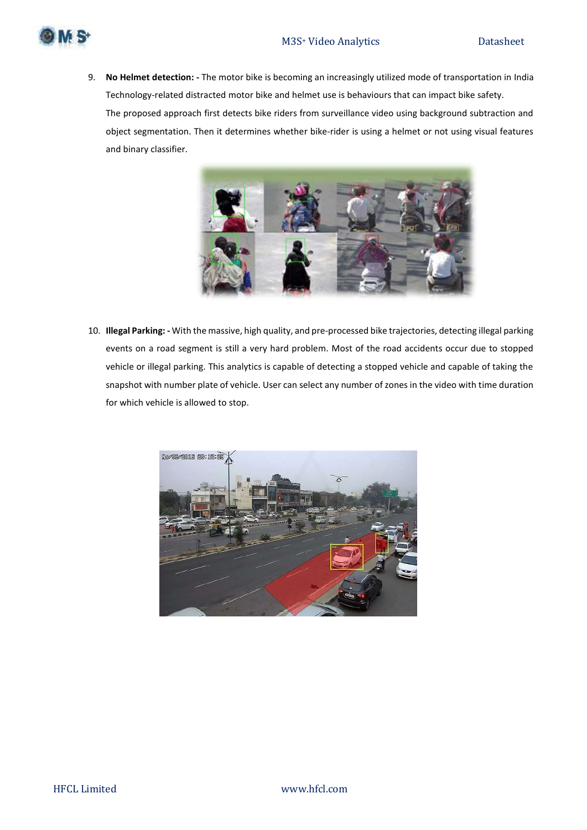

9. **No Helmet detection: -** The motor bike is becoming an increasingly utilized mode of transportation in India Technology-related distracted motor bike and helmet use is behaviours that can impact bike safety. The proposed approach first detects bike riders from surveillance video using background subtraction and object segmentation. Then it determines whether bike-rider is using a helmet or not using visual features and binary classifier.



10. **Illegal Parking: -** With the massive, high quality, and pre-processed bike trajectories, detecting illegal parking events on a road segment is still a very hard problem. Most of the road accidents occur due to stopped vehicle or illegal parking. This analytics is capable of detecting a stopped vehicle and capable of taking the snapshot with number plate of vehicle. User can select any number of zones in the video with time duration for which vehicle is allowed to stop.

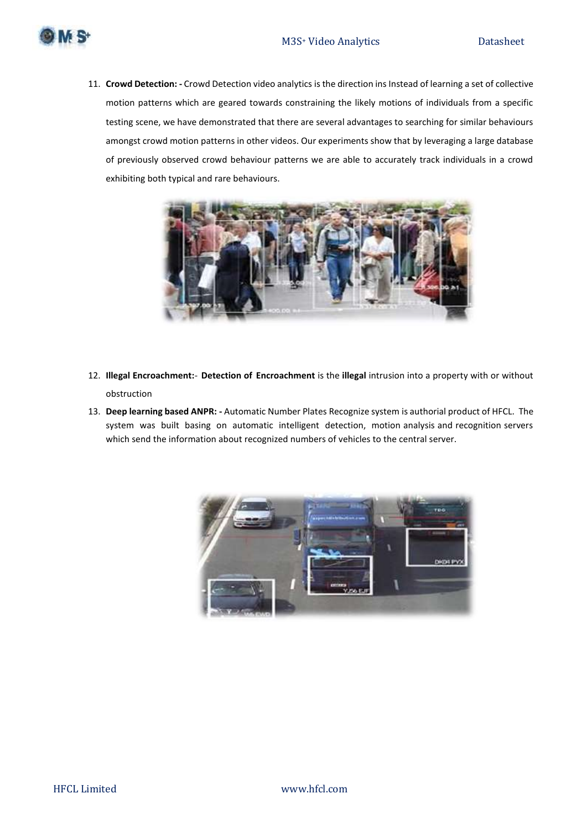

11. **Crowd Detection: -** Crowd Detection video analytics is the direction ins Instead of learning a set of collective motion patterns which are geared towards constraining the likely motions of individuals from a specific testing scene, we have demonstrated that there are several advantages to searching for similar behaviours amongst crowd motion patterns in other videos. Our experiments show that by leveraging a large database of previously observed crowd behaviour patterns we are able to accurately track individuals in a crowd exhibiting both typical and rare behaviours.



- 12. **Illegal Encroachment: Detection of Encroachment** is the **illegal** intrusion into a property with or without obstruction
- 13. **Deep learning based ANPR: -** Automatic Number Plates Recognize system is authorial product of HFCL. The system was built basing on automatic intelligent detection, motion analysis and recognition servers which send the information about recognized numbers of vehicles to the central server.

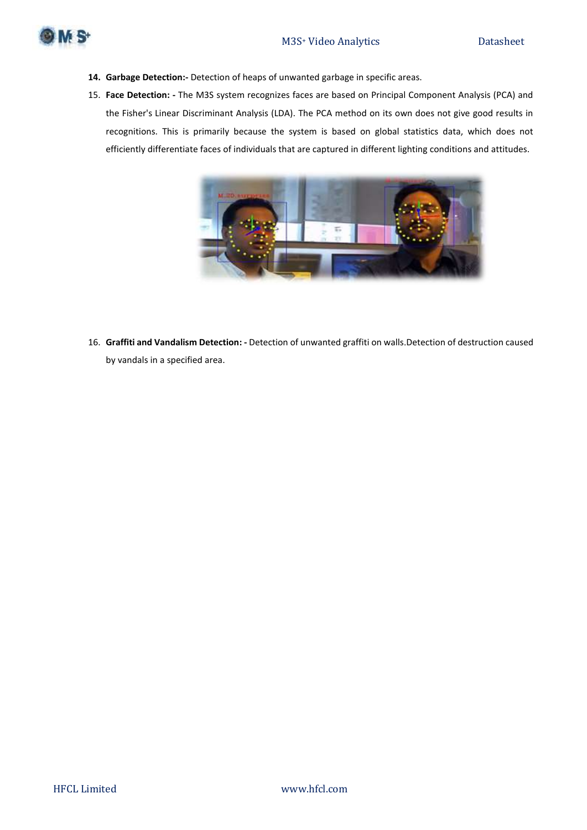

- **14. Garbage Detection:-** Detection of heaps of unwanted garbage in specific areas.
- 15. **Face Detection: -** The M3S system recognizes faces are based on Principal Component Analysis (PCA) and the Fisher's Linear Discriminant Analysis (LDA). The PCA method on its own does not give good results in recognitions. This is primarily because the system is based on global statistics data, which does not efficiently differentiate faces of individuals that are captured in different lighting conditions and attitudes.



16. **Graffiti and Vandalism Detection: -** Detection of unwanted graffiti on walls.Detection of destruction caused by vandals in a specified area.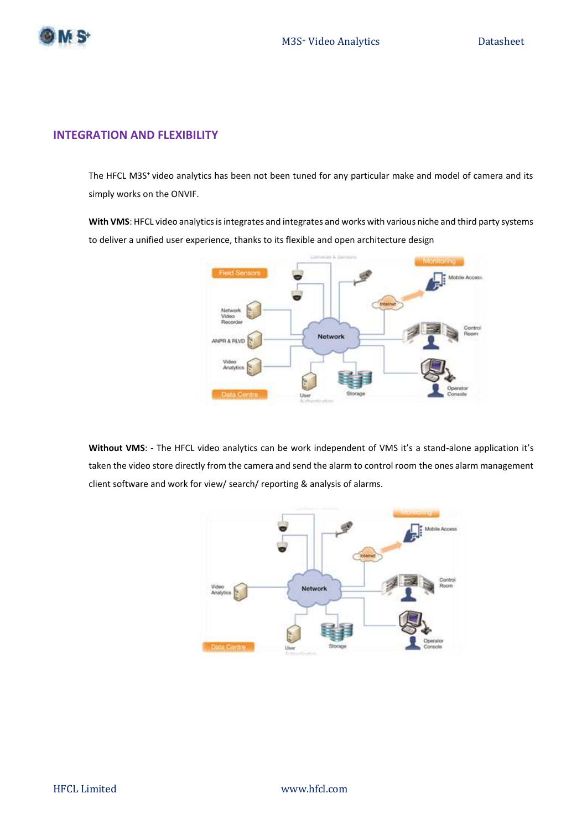

## <span id="page-12-0"></span>**INTEGRATION AND FLEXIBILITY**

The HFCL M3S<sup>+</sup> video analytics has been not been tuned for any particular make and model of camera and its simply works on the ONVIF.

**With VMS**: HFCL video analytics is integrates and integrates and works with various niche and third party systems to deliver a unified user experience, thanks to its flexible and open architecture design



**Without VMS**: - The HFCL video analytics can be work independent of VMS it's a stand-alone application it's taken the video store directly from the camera and send the alarm to control room the ones alarm management client software and work for view/ search/ reporting & analysis of alarms.